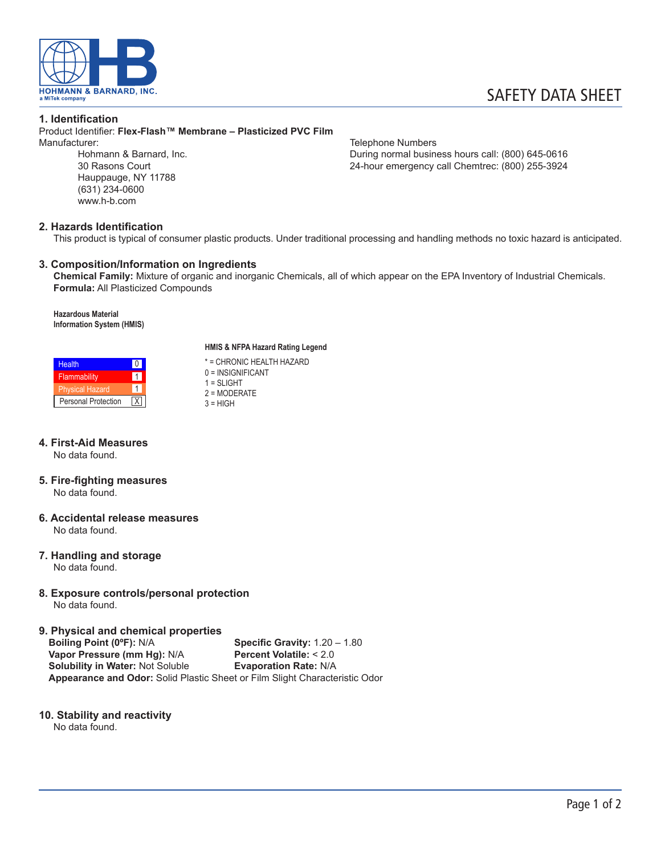

#### **1. Identification**

Product Identifier: **Flex-Flash™ Membrane – Plasticized PVC Film** Manufacturer: Telephone Numbers

Hauppauge, NY 11788 (631) 234-0600 www.h-b.com

Hohmann & Barnard, Inc. The Communication of the During normal business hours call: (800) 645-0616<br>24-hour emergency call Chemirec: (800) 255-3924 24-hour emergency call Chemtrec: (800) 255-3924

## **2. Hazards Identification**

This product is typical of consumer plastic products. Under traditional processing and handling methods no toxic hazard is anticipated.

## **3. Composition/Information on Ingredients**

**Chemical Family:** Mixture of organic and inorganic Chemicals, all of which appear on the EPA Inventory of Industrial Chemicals. **Formula:** All Plasticized Compounds

**Hazardous Material Information System (HMIS)**



#### **4. First-Aid Measures** No data found.

- **5. Fire-fighting measures** No data found.
- **6. Accidental release measures** No data found.
- **7. Handling and storage** No data found.
- **8. Exposure controls/personal protection** No data found.

**9. Physical and chemical properties**

**Specific Gravity: 1.20 – 1.80**<br>**Percent Volatile: < 2.0 Vapor Pressure (mm Hg): N/A Percent Volatile: < 2.0<br>
<b>Solubility in Water:** Not Soluble **Pressure Evaporation Rate:** N/A **Solubility in Water: Not Soluble Appearance and Odor:** Solid Plastic Sheet or Film Slight Characteristic Odor

## **10. Stability and reactivity**

No data found.

#### **HMIS & NFPA Hazard Rating Legend**

\* = CHRONIC HEALTH HAZARD 0 = INSIGNIFICANT  $1 = SI$  IGHT 2 = MODERATE  $3 = HIGH$